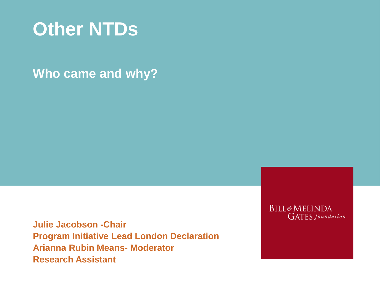

### **Who came and why?**

**Julie Jacobson -Chair Program Initiative Lead London Declaration Arianna Rubin Means- Moderator Research Assistant**

**BILL&MELINDA GATES** foundation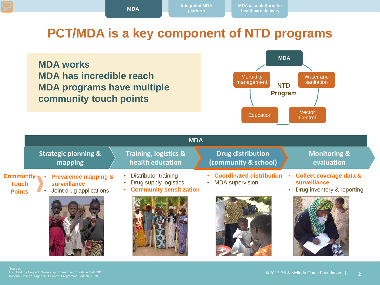### **PCT/MDA is a key component of NTD programs**





|                                                                                                                                                                 | <b>MDA</b>                                                                                          |                                                           |                                                                                    |  |  |  |
|-----------------------------------------------------------------------------------------------------------------------------------------------------------------|-----------------------------------------------------------------------------------------------------|-----------------------------------------------------------|------------------------------------------------------------------------------------|--|--|--|
| <b>Strategic planning &amp;</b><br>mapping                                                                                                                      | <b>Training, logistics &amp;</b><br>health education                                                | <b>Drug distribution</b><br>(community & school)          | <b>Monitoring &amp;</b><br>evaluation                                              |  |  |  |
| $\mathsf{Community}$ $\blacksquare$<br><b>Prevalence mapping &amp;</b><br>$\bullet$<br>surveillance<br><b>Touch</b><br>Joint drug applications<br><b>Points</b> | <b>Distributor training</b><br>$\bullet$<br>Drug supply logistics<br><b>Community sensitization</b> | <b>Coordinated distribution</b><br><b>MDA</b> supervision | <b>Collect coverage data &amp;</b><br>surveillance<br>• Drug inventory & reporting |  |  |  |
|                                                                                                                                                                 |                                                                                                     |                                                           |                                                                                    |  |  |  |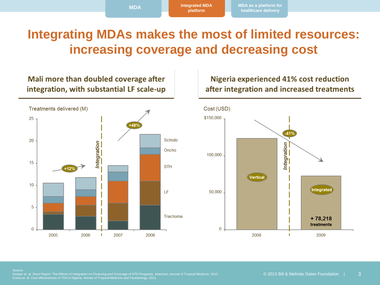### **Integrating MDAs makes the most of limited resources: increasing coverage and decreasing cost**

#### Mali more than doubled coverage after integration, with substantial LF scale-up



#### **Nigeria experienced 41% cost reduction** after integration and increased treatments

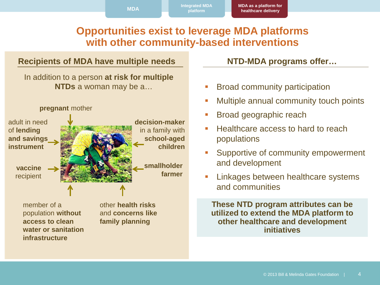**MDA Integrated MDA** 

**MDA as a platform for healthcare delivery**

### **Opportunities exist to leverage MDA platforms with other community-based interventions**

**platform**

#### **Recipients of MDA have multiple needs**

In addition to a person **at risk for multiple NTDs** a woman may be a…



member of a population **without access to clean water or sanitation infrastructure**

other **health risks**  and **concerns like family planning**

**NTD-MDA programs offer…**

- **Broad community participation**
- **Multiple annual community touch points**
- **Broad geographic reach**
- Healthcare access to hard to reach populations
- **Supportive of community empowerment** and development
- **Linkages between healthcare systems** and communities

**These NTD program attributes can be utilized to extend the MDA platform to other healthcare and development initiatives**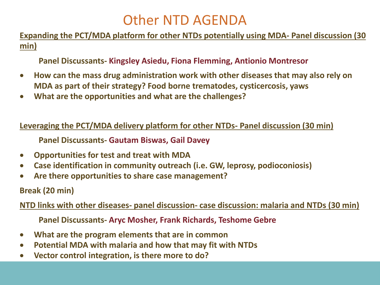# Other NTD AGENDA

**Expanding the PCT/MDA platform for other NTDs potentially using MDA- Panel discussion (30 min)**

**Panel Discussants- Kingsley Asiedu, Fiona Flemming, Antionio Montresor**

- **How can the mass drug administration work with other diseases that may also rely on MDA as part of their strategy? Food borne trematodes, cysticercosis, yaws**
- **What are the opportunities and what are the challenges?**

**Leveraging the PCT/MDA delivery platform for other NTDs- Panel discussion (30 min)**

**Panel Discussants- Gautam Biswas, Gail Davey**

- **Opportunities for test and treat with MDA**
- **Case identification in community outreach (i.e. GW, leprosy, podioconiosis)**
- **Are there opportunities to share case management?**

**Break (20 min)**

**NTD links with other diseases- panel discussion- case discussion: malaria and NTDs (30 min)**

**Panel Discussants- Aryc Mosher, Frank Richards, Teshome Gebre**

- **What are the program elements that are in common**
- **Potential MDA with malaria and how that may fit with NTDs**
- **Vector control integration, is there more to do?**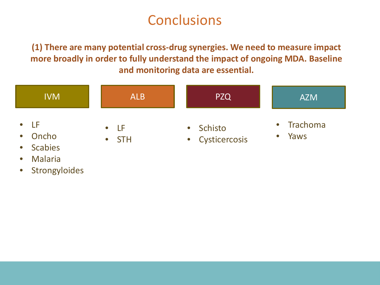**(1) There are many potential cross-drug synergies. We need to measure impact more broadly in order to fully understand the impact of ongoing MDA. Baseline and monitoring data are essential.** 

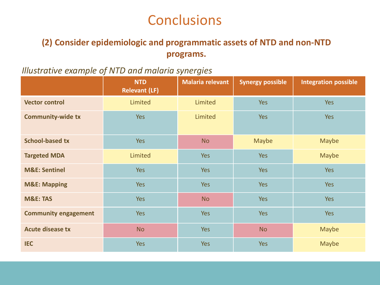### **(2) Consider epidemiologic and programmatic assets of NTD and non-NTD programs.**

### *Illustrative example of NTD and malaria synergies*

|                             | <b>NTD</b><br><b>Relevant (LF)</b> | <b>Malaria relevant</b> | <b>Synergy possible</b> | <b>Integration possible</b> |
|-----------------------------|------------------------------------|-------------------------|-------------------------|-----------------------------|
| <b>Vector control</b>       | Limited                            | Limited                 | <b>Yes</b>              | <b>Yes</b>                  |
| <b>Community-wide tx</b>    | <b>Yes</b>                         | Limited                 | <b>Yes</b>              | Yes                         |
| <b>School-based tx</b>      | Yes                                | <b>No</b>               | <b>Maybe</b>            | <b>Maybe</b>                |
| <b>Targeted MDA</b>         | Limited                            | <b>Yes</b>              | <b>Yes</b>              | Maybe                       |
| <b>M&amp;E: Sentinel</b>    | <b>Yes</b>                         | <b>Yes</b>              | <b>Yes</b>              | Yes                         |
| <b>M&amp;E: Mapping</b>     | <b>Yes</b>                         | <b>Yes</b>              | <b>Yes</b>              | Yes                         |
| <b>M&amp;E: TAS</b>         | <b>Yes</b>                         | <b>No</b>               | <b>Yes</b>              | Yes                         |
| <b>Community engagement</b> | <b>Yes</b>                         | <b>Yes</b>              | <b>Yes</b>              | <b>Yes</b>                  |
| <b>Acute disease tx</b>     | <b>No</b>                          | <b>Yes</b>              | <b>No</b>               | <b>Maybe</b>                |
| <b>IEC</b>                  | <b>Yes</b>                         | <b>Yes</b>              | <b>Yes</b>              | Maybe                       |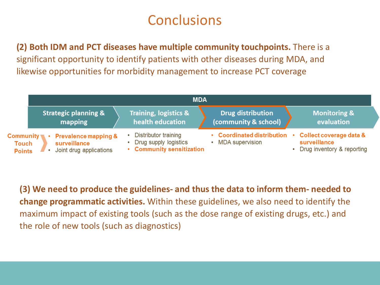**(2) Both IDM and PCT diseases have multiple community touchpoints.** There is a significant opportunity to identify patients with other diseases during MDA, and likewise opportunities for morbidity management to increase PCT coverage

|                                            | <b>MDA</b>                                                                 |                                                                            |                                                      |                                                                         |  |  |
|--------------------------------------------|----------------------------------------------------------------------------|----------------------------------------------------------------------------|------------------------------------------------------|-------------------------------------------------------------------------|--|--|
|                                            | <b>Strategic planning &amp;</b><br>mapping                                 | <b>Training, logistics &amp;</b><br>health education                       | <b>Drug distribution</b><br>(community & school)     | <b>Monitoring &amp;</b><br>evaluation                                   |  |  |
| <b>Community</b><br>Touch<br><b>Points</b> | <b>Prevalence mapping &amp;</b><br>surveillance<br>Joint drug applications | Distributor training<br>Drug supply logistics<br>• Community sensitization | • Coordinated distribution<br><b>MDA</b> supervision | • Collect coverage data &<br>surveillance<br>Drug inventory & reporting |  |  |

**(3) We need to produce the guidelines- and thus the data to inform them- needed to change programmatic activities.** Within these guidelines, we also need to identify the maximum impact of existing tools (such as the dose range of existing drugs, etc.) and the role of new tools (such as diagnostics)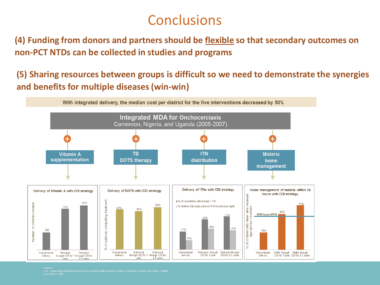**(4) Funding from donors and partners should be flexible so that secondary outcomes on non-PCT NTDs can be collected in studies and programs**

**(5) Sharing resources between groups is difficult so we need to demonstrate the synergies and benefits for multiple diseases (win-win)**



Sources<br>TDR - Community directed interventions for priority health problems in Africa: results of a multicountry study. Bulletin<br>- LEE - MULS: 2009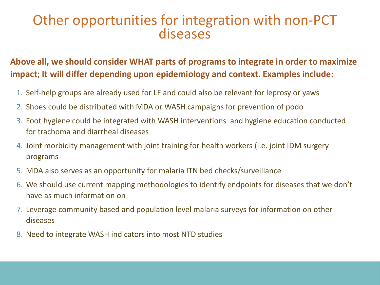### Other opportunities for integration with non-PCT diseases

### **Above all, we should consider WHAT parts of programs to integrate in order to maximize impact; It will differ depending upon epidemiology and context. Examples include:**

- 1. Self-help groups are already used for LF and could also be relevant for leprosy or yaws
- 2. Shoes could be distributed with MDA or WASH campaigns for prevention of podo
- 3. Foot hygiene could be integrated with WASH interventions and hygiene education conducted for trachoma and diarrheal diseases
- 4. Joint morbidity management with joint training for health workers (i.e. joint IDM surgery programs
- 5. MDA also serves as an opportunity for malaria ITN bed checks/surveillance
- 6. We should use current mapping methodologies to identify endpoints for diseases that we don't have as much information on
- 7. Leverage community based and population level malaria surveys for information on other diseases
- 8. Need to integrate WASH indicators into most NTD studies